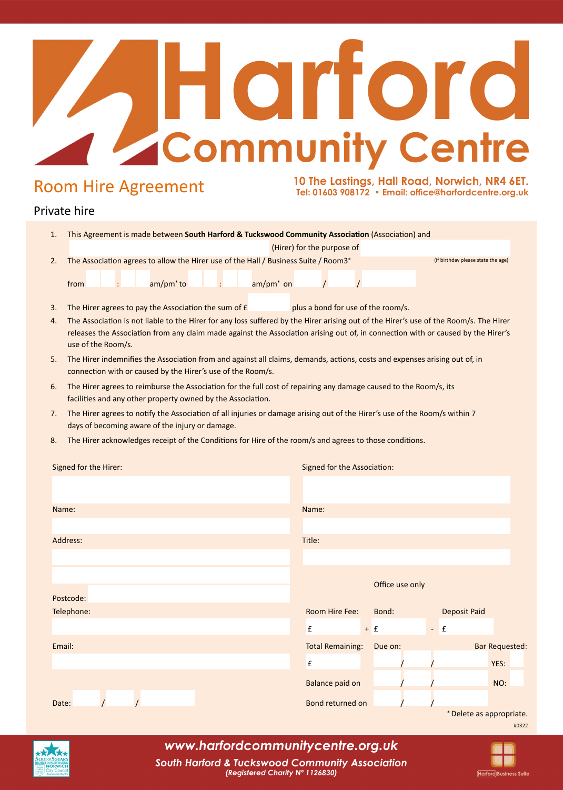# 1. This Agreement is made between **South Harford & Tuckswood Community Association** (Association) and<br>1. This Agreement is made between **South Harford & Tuckswood Community Association** (Association) and **EXERCISE ASSOCIATION INTERED ASSOCIATED ASSOCIATED ASSOCIATED ASSOCIATED ASSOCIATED ASSOCIATED ASSOCIATED ASSOCIATED ASSOCIATED ASSOCIATED ASSOCIATED ASSOCIATED ASSOCIATED ASSOCIATED ASSOCIATED ASSOCIATED ASSOCIATED ASSOC Harford**

### Room Hire Agreement

**Harford Business Suite** 

#### Private hire

| oom Hire Agreement                                                                                            |                                                                                                                                                                                                                                                                                                                                                                                               |  |                       |  |  |                       | 10 The Lastings, Hall Road, Norwich, NR4 6ET.<br>Tel: 01603 908172 · Email: office@harfordcentre.org.uk                                                 |                                            |         |                 |                     |                                   |                       |
|---------------------------------------------------------------------------------------------------------------|-----------------------------------------------------------------------------------------------------------------------------------------------------------------------------------------------------------------------------------------------------------------------------------------------------------------------------------------------------------------------------------------------|--|-----------------------|--|--|-----------------------|---------------------------------------------------------------------------------------------------------------------------------------------------------|--------------------------------------------|---------|-----------------|---------------------|-----------------------------------|-----------------------|
| ivate hire                                                                                                    |                                                                                                                                                                                                                                                                                                                                                                                               |  |                       |  |  |                       |                                                                                                                                                         |                                            |         |                 |                     |                                   |                       |
| 1.                                                                                                            | This Agreement is made between South Harford & Tuckswood Community Association (Association) and                                                                                                                                                                                                                                                                                              |  |                       |  |  |                       |                                                                                                                                                         |                                            |         |                 |                     |                                   |                       |
| 2.                                                                                                            |                                                                                                                                                                                                                                                                                                                                                                                               |  |                       |  |  |                       | (Hirer) for the purpose of<br>The Association agrees to allow the Hirer use of the Hall / Business Suite / Room3*<br>(if birthday please state the age) |                                            |         |                 |                     |                                   |                       |
|                                                                                                               | from                                                                                                                                                                                                                                                                                                                                                                                          |  | am/pm <sup>*</sup> to |  |  | am/pm <sup>*</sup> on |                                                                                                                                                         |                                            |         |                 |                     |                                   |                       |
| 3.<br>4.                                                                                                      | plus a bond for use of the room/s.<br>The Hirer agrees to pay the Association the sum of £<br>The Association is not liable to the Hirer for any loss suffered by the Hirer arising out of the Hirer's use of the Room/s. The Hirer<br>releases the Association from any claim made against the Association arising out of, in connection with or caused by the Hirer's<br>use of the Room/s. |  |                       |  |  |                       |                                                                                                                                                         |                                            |         |                 |                     |                                   |                       |
| 5.                                                                                                            | The Hirer indemnifies the Association from and against all claims, demands, actions, costs and expenses arising out of, in<br>connection with or caused by the Hirer's use of the Room/s.                                                                                                                                                                                                     |  |                       |  |  |                       |                                                                                                                                                         |                                            |         |                 |                     |                                   |                       |
| 6.                                                                                                            | The Hirer agrees to reimburse the Association for the full cost of repairing any damage caused to the Room/s, its<br>facilities and any other property owned by the Association.                                                                                                                                                                                                              |  |                       |  |  |                       |                                                                                                                                                         |                                            |         |                 |                     |                                   |                       |
| 7.                                                                                                            | The Hirer agrees to notify the Association of all injuries or damage arising out of the Hirer's use of the Room/s within 7<br>days of becoming aware of the injury or damage.                                                                                                                                                                                                                 |  |                       |  |  |                       |                                                                                                                                                         |                                            |         |                 |                     |                                   |                       |
| The Hirer acknowledges receipt of the Conditions for Hire of the room/s and agrees to those conditions.<br>8. |                                                                                                                                                                                                                                                                                                                                                                                               |  |                       |  |  |                       |                                                                                                                                                         |                                            |         |                 |                     |                                   |                       |
| Signed for the Hirer:                                                                                         |                                                                                                                                                                                                                                                                                                                                                                                               |  |                       |  |  |                       | Signed for the Association:                                                                                                                             |                                            |         |                 |                     |                                   |                       |
|                                                                                                               |                                                                                                                                                                                                                                                                                                                                                                                               |  |                       |  |  |                       |                                                                                                                                                         |                                            |         |                 |                     |                                   |                       |
| Name:                                                                                                         |                                                                                                                                                                                                                                                                                                                                                                                               |  |                       |  |  | Name:                 |                                                                                                                                                         |                                            |         |                 |                     |                                   |                       |
| Address:                                                                                                      |                                                                                                                                                                                                                                                                                                                                                                                               |  |                       |  |  | Title:                |                                                                                                                                                         |                                            |         |                 |                     |                                   |                       |
|                                                                                                               |                                                                                                                                                                                                                                                                                                                                                                                               |  |                       |  |  |                       |                                                                                                                                                         |                                            |         | Office use only |                     |                                   |                       |
| Postcode:<br>Telephone:                                                                                       |                                                                                                                                                                                                                                                                                                                                                                                               |  |                       |  |  |                       | Room Hire Fee:                                                                                                                                          |                                            | Bond:   |                 | <b>Deposit Paid</b> |                                   |                       |
|                                                                                                               |                                                                                                                                                                                                                                                                                                                                                                                               |  |                       |  |  |                       | £                                                                                                                                                       |                                            | $+$ $f$ |                 |                     | $\mathbf{f}$                      |                       |
| Email:                                                                                                        |                                                                                                                                                                                                                                                                                                                                                                                               |  |                       |  |  |                       |                                                                                                                                                         | <b>Total Remaining:</b>                    |         | Due on:         |                     |                                   | <b>Bar Requested:</b> |
|                                                                                                               |                                                                                                                                                                                                                                                                                                                                                                                               |  |                       |  |  |                       | £                                                                                                                                                       |                                            |         |                 |                     |                                   | YES:                  |
| Date:                                                                                                         |                                                                                                                                                                                                                                                                                                                                                                                               |  |                       |  |  |                       |                                                                                                                                                         | Balance paid on<br><b>Bond returned on</b> |         |                 |                     |                                   | NO:                   |
|                                                                                                               |                                                                                                                                                                                                                                                                                                                                                                                               |  |                       |  |  |                       |                                                                                                                                                         |                                            |         |                 |                     | * Delete as appropriate.<br>#0322 |                       |



### *www.harfordcommunitycentre.org.uk*

*South Harford & Tuckswood Community Association (Registered Charity Nº 1126830)*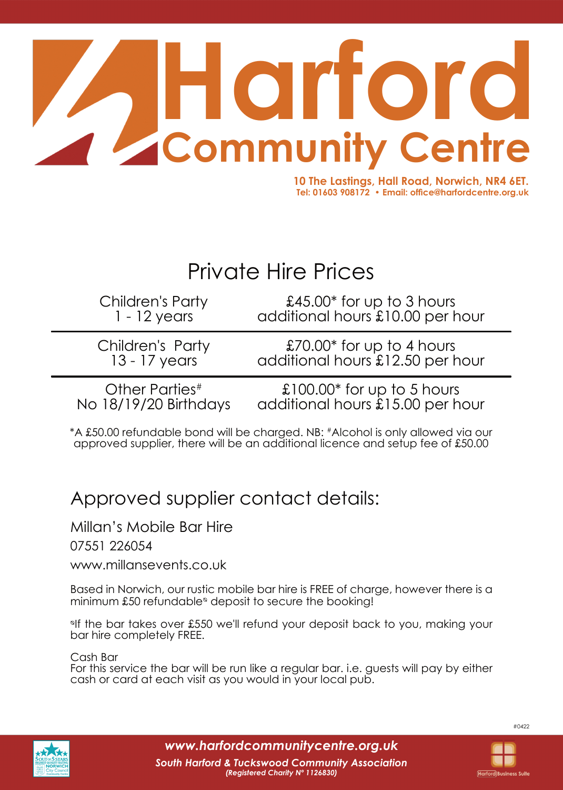

**10 The Lastings, Hall Road, Norwich, NR4 6ET. Tel: 01603 908172 • Email: office@harfordcentre.org.uk**

# Private Hire Prices

Children's Party 1 - 12 years

£45.00\* for up to 3 hours additional hours £10.00 per hour

Children's Party 13 - 17 years

£70.00\* for up to 4 hours additional hours £12.50 per hour

Other Parties# No 18/19/20 Birthdays

£100.00\* for up to 5 hours additional hours £15.00 per hour

\*A £50.00 refundable bond will be charged. NB: #Alcohol is only allowed via our approved supplier, there will be an additional licence and setup fee of £50.00

## Approved supplier contact details:

Millan's Mobile Bar Hire

07551 226054

www.millansevents.co.uk

Based in Norwich, our rustic mobile bar hire is FREE of charge, however there is a minimum  $£50$  refundable $^{\circ}$  deposit to secure the booking!

<sup>olf</sup> the bar takes over £550 we'll refund your deposit back to you, making your bar hire completely FREE.

Cash Bar

For this service the bar will be run like a regular bar. i.e. guests will pay by either cash or card at each visit as you would in your local pub.



*www.harfordcommunitycentre.org.uk*

#0422

**Harford Business Suite**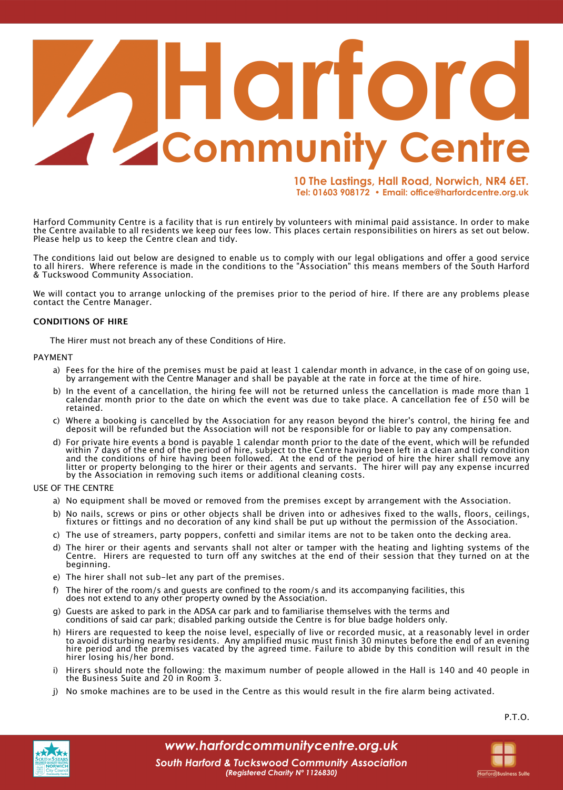# **Commun Harford**

**10 The Lastings, Hall Road, Norwich, NR4 6ET. Tel: 01603 908172 • Email: office@harfordcentre.org.uk**

Harford Community Centre is a facility that is run entirely by volunteers with minimal paid assistance. In order to make the Centre available to all residents we keep our fees low. This places certain responsibilities on hirers as set out below. Please help us to keep the Centre clean and tidy.

The conditions laid out below are designed to enable us to comply with our legal obligations and offer a good service to all hirers. Where reference is made in the conditions to the "Association" this means members of the South Harford & Tuckswood Community Association.

We will contact you to arrange unlocking of the premises prior to the period of hire. If there are any problems please contact the Centre Manager.

#### **CONDITIONS OF HIRE**

The Hirer must not breach any of these Conditions of Hire.

#### PAYMENT

- a) Fees for the hire of the premises must be paid at least 1 calendar month in advance, in the case of on going use, by arrangement with the Centre Manager and shall be payable at the rate in force at the time of hire.
- b) In the event of a cancellation, the hiring fee will not be returned unless the cancellation is made more than 1 calendar month prior to the date on which the event was due to take place. A cancellation fee of £50 will be retained.
- c) Where a booking is cancelled by the Association for any reason beyond the hirer's control, the hiring fee and deposit will be refunded but the Association will not be responsible for or liable to pay any compensation.
- d) For private hire events a bond is payable 1 calendar month prior to the date of the event, which will be refunded within 7 days of the end of the period of hire, subject to the Centre having been left in a clean and tidy condition and the conditions of hire having been followed. At the end of the period of hire the hirer shall remove any litter or property belonging to the hirer or their agents and servants. The hirer will pay any expense incurred by the Association in removing such items or additional cleaning costs.

USE OF THE CENTRE

- a) No equipment shall be moved or removed from the premises except by arrangement with the Association.
- b) No nails, screws or pins or other objects shall be driven into or adhesives fixed to the walls, floors, ceilings, fixtures or fittings and no decoration of any kind shall be put up without the permission of the Association.
- c) The use of streamers, party poppers, confetti and similar items are not to be taken onto the decking area.
- d) The hirer or their agents and servants shall not alter or tamper with the heating and lighting systems of the Centre. Hirers are requested to turn off any switches at the end of their session that they turned on at the beginning.
- e) The hirer shall not sub-let any part of the premises.
- f) The hirer of the room/s and guests are confined to the room/s and its accompanying facilities, this does not extend to any other property owned by the Association.
- g) Guests are asked to park in the ADSA car park and to familiarise themselves with the terms and conditions of said car park; disabled parking outside the Centre is for blue badge holders only.
- h) Hirers are requested to keep the noise level, especially of live or recorded music, at a reasonably level in order to avoid disturbing nearby residents. Any amplified music must finish 30 minutes before the end of an evening hire period and the premises vacated by the agreed time. Failure to abide by this condition will result in the hirer losing his/her bond.
- i) Hirers should note the following: the maximum number of people allowed in the Hall is 140 and 40 people in the Business Suite and 20 in Room 3.
- j) No smoke machines are to be used in the Centre as this would result in the fire alarm being activated.

P.T.O.

**Harford Business Suite** 



*www.harfordcommunitycentre.org.uk*

*South Harford & Tuckswood Community Association (Registered Charity Nº 1126830)*